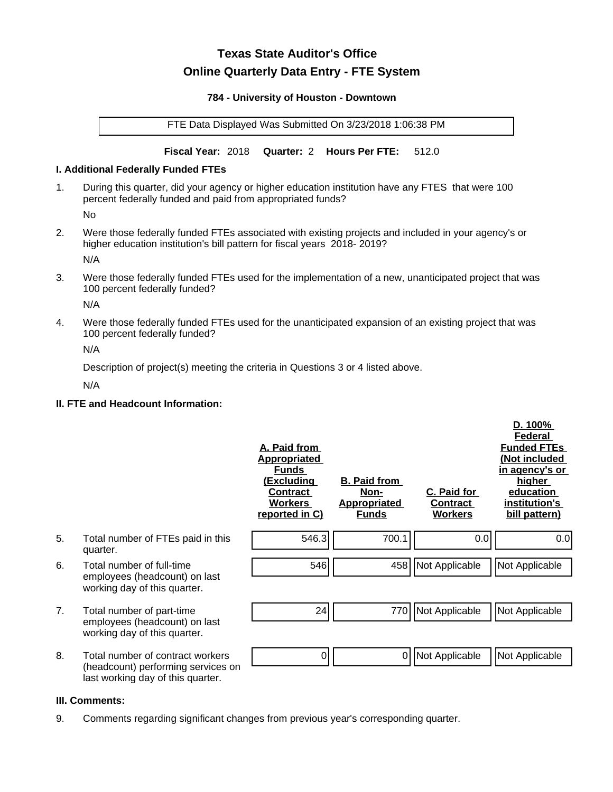# **Texas State Auditor's Office Online Quarterly Data Entry - FTE System**

#### **784 - University of Houston - Downtown**

FTE Data Displayed Was Submitted On 3/23/2018 1:06:38 PM

**Fiscal Year:** 2018 **Quarter:** 2 **Hours Per FTE:** 512.0

#### **I. Additional Federally Funded FTEs**

1. During this quarter, did your agency or higher education institution have any FTES that were 100 percent federally funded and paid from appropriated funds?

No

2. Were those federally funded FTEs associated with existing projects and included in your agency's or higher education institution's bill pattern for fiscal years 2018- 2019?

N/A

3. Were those federally funded FTEs used for the implementation of a new, unanticipated project that was 100 percent federally funded?

N/A

4. Were those federally funded FTEs used for the unanticipated expansion of an existing project that was 100 percent federally funded?

N/A

Description of project(s) meeting the criteria in Questions 3 or 4 listed above.

N/A

## **II. FTE and Headcount Information:**

|    |                                                                                                             | A. Paid from<br><u>Appropriated</u><br><b>Funds</b><br><u>(Excluding</u><br><b>Contract</b><br><b>Workers</b><br>reported in C) | <b>B. Paid from</b><br>Non-<br><b>Appropriated</b><br><b>Funds</b> | C. Paid for<br>Contract<br><b>Workers</b> | D. 100%<br>Federal<br><b>Funded FTEs</b><br>(Not included<br>in agency's or<br>higher<br>education<br>institution's<br>bill pattern) |
|----|-------------------------------------------------------------------------------------------------------------|---------------------------------------------------------------------------------------------------------------------------------|--------------------------------------------------------------------|-------------------------------------------|--------------------------------------------------------------------------------------------------------------------------------------|
| 5. | Total number of FTEs paid in this<br>quarter.                                                               | 546.3                                                                                                                           | 700.1                                                              | 0.0                                       | 0.0                                                                                                                                  |
| 6. | Total number of full-time<br>employees (headcount) on last<br>working day of this quarter.                  | 546                                                                                                                             |                                                                    | 458 Not Applicable                        | Not Applicable                                                                                                                       |
| 7. | Total number of part-time<br>employees (headcount) on last<br>working day of this quarter.                  | 24                                                                                                                              | 770                                                                | Not Applicable                            | Not Applicable                                                                                                                       |
| 8. | Total number of contract workers<br>(headcount) performing services on<br>last working day of this quarter. | 0                                                                                                                               | 0                                                                  | Not Applicable                            | Not Applicable                                                                                                                       |

#### **III. Comments:**

9. Comments regarding significant changes from previous year's corresponding quarter.